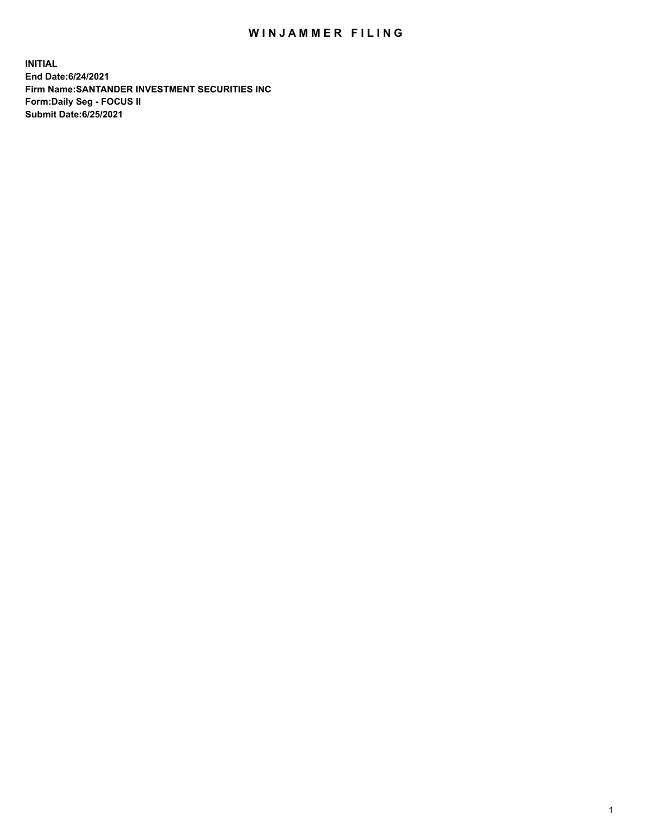## WIN JAMMER FILING

**INITIAL End Date:6/24/2021 Firm Name:SANTANDER INVESTMENT SECURITIES INC Form:Daily Seg - FOCUS II Submit Date:6/25/2021**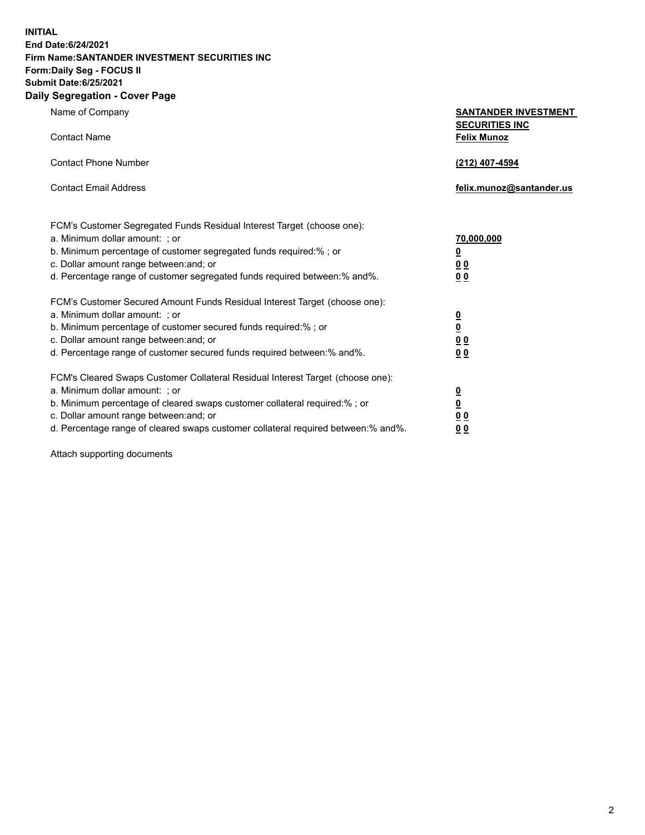**INITIAL End Date:6/24/2021 Firm Name:SANTANDER INVESTMENT SECURITIES INC Form:Daily Seg - FOCUS II Submit Date:6/25/2021 Daily Segregation - Cover Page**

| 0.91                                                                                                                                                                                                                                                                                                                           |                                                                                                          |
|--------------------------------------------------------------------------------------------------------------------------------------------------------------------------------------------------------------------------------------------------------------------------------------------------------------------------------|----------------------------------------------------------------------------------------------------------|
| Name of Company                                                                                                                                                                                                                                                                                                                | <b>SANTANDER INVESTMENT</b><br><b>SECURITIES INC</b>                                                     |
| <b>Contact Name</b>                                                                                                                                                                                                                                                                                                            | <b>Felix Munoz</b>                                                                                       |
| <b>Contact Phone Number</b>                                                                                                                                                                                                                                                                                                    | (212) 407-4594                                                                                           |
| <b>Contact Email Address</b>                                                                                                                                                                                                                                                                                                   | felix.munoz@santander.us                                                                                 |
| FCM's Customer Segregated Funds Residual Interest Target (choose one):<br>a. Minimum dollar amount: ; or<br>b. Minimum percentage of customer segregated funds required:% ; or<br>c. Dollar amount range between: and; or<br>d. Percentage range of customer segregated funds required between: % and %.                       | 70,000,000<br>$\underline{\mathbf{0}}$<br>0 <sub>0</sub><br>0 <sub>0</sub>                               |
| FCM's Customer Secured Amount Funds Residual Interest Target (choose one):<br>a. Minimum dollar amount: ; or<br>b. Minimum percentage of customer secured funds required:%; or<br>c. Dollar amount range between: and; or<br>d. Percentage range of customer secured funds required between:% and%.                            | $\frac{0}{0}$<br>0 <sub>0</sub><br>0 <sub>0</sub>                                                        |
| FCM's Cleared Swaps Customer Collateral Residual Interest Target (choose one):<br>a. Minimum dollar amount: ; or<br>b. Minimum percentage of cleared swaps customer collateral required:% ; or<br>c. Dollar amount range between: and; or<br>d. Percentage range of cleared swaps customer collateral required between:% and%. | $\overline{\mathbf{0}}$<br>$\underline{\mathbf{0}}$<br>$\underline{0}$ $\underline{0}$<br>0 <sub>0</sub> |

Attach supporting documents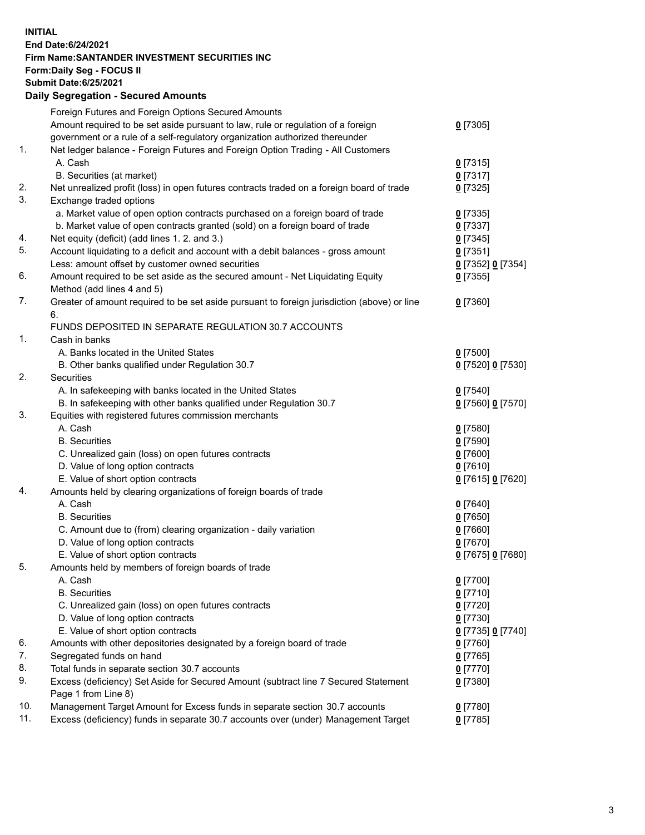**INITIAL End Date:6/24/2021 Firm Name:SANTANDER INVESTMENT SECURITIES INC Form:Daily Seg - FOCUS II Submit Date:6/25/2021 Daily Segregation - Secured Amounts**

|     | Foreign Futures and Foreign Options Secured Amounts                                         |                   |
|-----|---------------------------------------------------------------------------------------------|-------------------|
|     | Amount required to be set aside pursuant to law, rule or regulation of a foreign            | $0$ [7305]        |
|     | government or a rule of a self-regulatory organization authorized thereunder                |                   |
| 1.  | Net ledger balance - Foreign Futures and Foreign Option Trading - All Customers             |                   |
|     | A. Cash                                                                                     | $0$ [7315]        |
|     | B. Securities (at market)                                                                   | 0[7317]           |
| 2.  | Net unrealized profit (loss) in open futures contracts traded on a foreign board of trade   | $0$ [7325]        |
| 3.  | Exchange traded options                                                                     |                   |
|     | a. Market value of open option contracts purchased on a foreign board of trade              | $0$ [7335]        |
|     | b. Market value of open contracts granted (sold) on a foreign board of trade                | $0$ [7337]        |
| 4.  | Net equity (deficit) (add lines 1. 2. and 3.)                                               | $0$ [7345]        |
| 5.  | Account liquidating to a deficit and account with a debit balances - gross amount           | $0$ [7351]        |
|     | Less: amount offset by customer owned securities                                            | 0 [7352] 0 [7354] |
| 6.  | Amount required to be set aside as the secured amount - Net Liquidating Equity              | $0$ [7355]        |
|     | Method (add lines 4 and 5)                                                                  |                   |
| 7.  | Greater of amount required to be set aside pursuant to foreign jurisdiction (above) or line | $0$ [7360]        |
|     | 6.                                                                                          |                   |
|     | FUNDS DEPOSITED IN SEPARATE REGULATION 30.7 ACCOUNTS                                        |                   |
| 1.  | Cash in banks                                                                               |                   |
|     | A. Banks located in the United States                                                       | $0$ [7500]        |
|     | B. Other banks qualified under Regulation 30.7                                              | 0 [7520] 0 [7530] |
| 2.  | Securities                                                                                  |                   |
|     | A. In safekeeping with banks located in the United States                                   | $0$ [7540]        |
|     | B. In safekeeping with other banks qualified under Regulation 30.7                          | 0 [7560] 0 [7570] |
| 3.  | Equities with registered futures commission merchants                                       |                   |
|     | A. Cash                                                                                     | $0$ [7580]        |
|     | <b>B.</b> Securities                                                                        | $0$ [7590]        |
|     | C. Unrealized gain (loss) on open futures contracts                                         | $0$ [7600]        |
|     | D. Value of long option contracts                                                           | $0$ [7610]        |
|     | E. Value of short option contracts                                                          | 0 [7615] 0 [7620] |
| 4.  | Amounts held by clearing organizations of foreign boards of trade                           |                   |
|     | A. Cash                                                                                     | $0$ [7640]        |
|     | <b>B.</b> Securities                                                                        | $0$ [7650]        |
|     | C. Amount due to (from) clearing organization - daily variation                             | $0$ [7660]        |
|     | D. Value of long option contracts                                                           | $0$ [7670]        |
|     | E. Value of short option contracts                                                          | 0 [7675] 0 [7680] |
| 5.  | Amounts held by members of foreign boards of trade                                          |                   |
|     | A. Cash                                                                                     | $0$ [7700]        |
|     | <b>B.</b> Securities                                                                        | $0$ [7710]        |
|     | C. Unrealized gain (loss) on open futures contracts                                         | $0$ [7720]        |
|     | D. Value of long option contracts                                                           | $0$ [7730]        |
|     | E. Value of short option contracts                                                          | 0 [7735] 0 [7740] |
| 6.  | Amounts with other depositories designated by a foreign board of trade                      | $0$ [7760]        |
| 7.  | Segregated funds on hand                                                                    | $0$ [7765]        |
| 8.  | Total funds in separate section 30.7 accounts                                               | $0$ [7770]        |
| 9.  | Excess (deficiency) Set Aside for Secured Amount (subtract line 7 Secured Statement         | 0 [7380]          |
|     | Page 1 from Line 8)                                                                         |                   |
| 10. | Management Target Amount for Excess funds in separate section 30.7 accounts                 | $0$ [7780]        |
| 11. | Excess (deficiency) funds in separate 30.7 accounts over (under) Management Target          | $0$ [7785]        |
|     |                                                                                             |                   |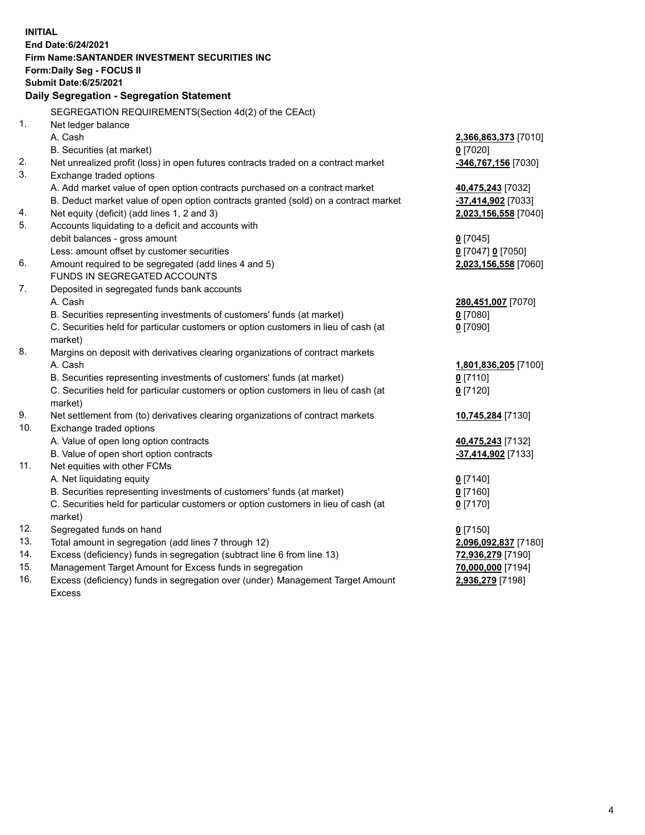| <b>INITIAL</b> |                                                                                            |                      |
|----------------|--------------------------------------------------------------------------------------------|----------------------|
|                | End Date: 6/24/2021                                                                        |                      |
|                | Firm Name: SANTANDER INVESTMENT SECURITIES INC                                             |                      |
|                | <b>Form:Daily Seg - FOCUS II</b>                                                           |                      |
|                | <b>Submit Date:6/25/2021</b>                                                               |                      |
|                | Daily Segregation - Segregation Statement                                                  |                      |
|                | SEGREGATION REQUIREMENTS(Section 4d(2) of the CEAct)                                       |                      |
| 1.             | Net ledger balance                                                                         |                      |
|                | A. Cash                                                                                    | 2,366,863,373 [7010] |
|                | B. Securities (at market)                                                                  | $0$ [7020]           |
| 2.             | Net unrealized profit (loss) in open futures contracts traded on a contract market         | -346,767,156 [7030]  |
| 3.             | Exchange traded options                                                                    |                      |
|                | A. Add market value of open option contracts purchased on a contract market                | 40,475,243 [7032]    |
|                | B. Deduct market value of open option contracts granted (sold) on a contract market        | -37,414,902 [7033]   |
| 4.             | Net equity (deficit) (add lines 1, 2 and 3)                                                | 2,023,156,558 [7040] |
| 5.             | Accounts liquidating to a deficit and accounts with                                        |                      |
|                | debit balances - gross amount                                                              | $0$ [7045]           |
|                | Less: amount offset by customer securities                                                 | 0 [7047] 0 [7050]    |
| 6.             | Amount required to be segregated (add lines 4 and 5)                                       | 2,023,156,558 [7060] |
|                | FUNDS IN SEGREGATED ACCOUNTS                                                               |                      |
| 7.             | Deposited in segregated funds bank accounts                                                |                      |
|                | A. Cash                                                                                    | 280,451,007 [7070]   |
|                | B. Securities representing investments of customers' funds (at market)                     | $0$ [7080]           |
|                | C. Securities held for particular customers or option customers in lieu of cash (at        | $0$ [7090]           |
|                | market)                                                                                    |                      |
| 8.             | Margins on deposit with derivatives clearing organizations of contract markets             |                      |
|                | A. Cash                                                                                    | 1,801,836,205 [7100] |
|                | B. Securities representing investments of customers' funds (at market)                     | $0$ [7110]           |
|                | C. Securities held for particular customers or option customers in lieu of cash (at        | $0$ [7120]           |
| 9.             | market)<br>Net settlement from (to) derivatives clearing organizations of contract markets | 10,745,284 [7130]    |
| 10.            | Exchange traded options                                                                    |                      |
|                | A. Value of open long option contracts                                                     | 40,475,243 [7132]    |
|                | B. Value of open short option contracts                                                    | -37,414,902 [7133]   |
| 11.            | Net equities with other FCMs                                                               |                      |
|                | A. Net liquidating equity                                                                  | $0$ [7140]           |
|                | B. Securities representing investments of customers' funds (at market)                     | $0$ [7160]           |
|                | C. Securities held for particular customers or option customers in lieu of cash (at        | $0$ [7170]           |
|                | market)                                                                                    |                      |
| 12.            | Segregated funds on hand                                                                   | $0$ [7150]           |
| 13.            | Total amount in segregation (add lines 7 through 12)                                       | 2,096,092,837 [7180] |
| 14.            | Excess (deficiency) funds in segregation (subtract line 6 from line 13)                    | 72,936,279 [7190]    |
| 15.            | Management Target Amount for Excess funds in segregation                                   | 70,000,000 [7194]    |
| 16.            | Excess (deficiency) funds in segregation over (under) Management Target Amount             | 2,936,279 [7198]     |
|                | <b>Excess</b>                                                                              |                      |